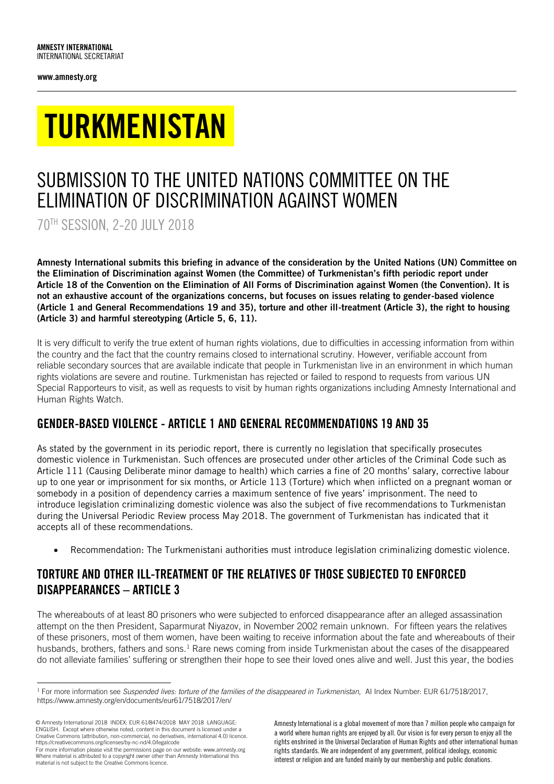www.amnesty.org

# TURKMENISTAN

## SUBMISSION TO THE UNITED NATIONS COMMITTEE ON THE ELIMINATION OF DISCRIMINATION AGAINST WOMEN

70TH SESSION, 2-20 JULY 2018

Amnesty International submits this briefing in advance of the consideration by the United Nations (UN) Committee on the Elimination of Discrimination against Women (the Committee) of Turkmenistan's fifth periodic report under Article 18 of the Convention on the Elimination of All Forms of Discrimination against Women (the Convention). It is not an exhaustive account of the organizations concerns, but focuses on issues relating to gender-based violence (Article 1 and General Recommendations 19 and 35), torture and other ill-treatment (Article 3), the right to housing (Article 3) and harmful stereotyping (Article 5, 6, 11).

It is very difficult to verify the true extent of human rights violations, due to difficulties in accessing information from within the country and the fact that the country remains closed to international scrutiny. However, verifiable account from reliable secondary sources that are available indicate that people in Turkmenistan live in an environment in which human rights violations are severe and routine. Turkmenistan has rejected or failed to respond to requests from various UN Special Rapporteurs to visit, as well as requests to visit by human rights organizations including Amnesty International and Human Rights Watch.

## GENDER-BASED VIOLENCE - ARTICLE 1 AND GENERAL RECOMMENDATIONS 19 AND 35

As stated by the government in its periodic report, there is currently no legislation that specifically prosecutes domestic violence in Turkmenistan. Such offences are prosecuted under other articles of the Criminal Code such as Article 111 (Causing Deliberate minor damage to health) which carries a fine of 20 months' salary, corrective labour up to one year or imprisonment for six months, or Article 113 (Torture) which when inflicted on a pregnant woman or somebody in a position of dependency carries a maximum sentence of five years' imprisonment. The need to introduce legislation criminalizing domestic violence was also the subject of five recommendations to Turkmenistan during the Universal Periodic Review process May 2018. The government of Turkmenistan has indicated that it accepts all of these recommendations.

Recommendation: The Turkmenistani authorities must introduce legislation criminalizing domestic violence.

## TORTURE AND OTHER ILL-TREATMENT OF THE RELATIVES OF THOSE SUBJECTED TO ENFORCED DISAPPEARANCES – ARTICLE 3

The whereabouts of at least 80 prisoners who were subjected to enforced disappearance after an alleged assassination attempt on the then President, Saparmurat Niyazov, in November 2002 remain unknown. For fifteen years the relatives of these prisoners, most of them women, have been waiting to receive information about the fate and whereabouts of their husbands, brothers, fathers and sons.<sup>1</sup> Rare news coming from inside Turkmenistan about the cases of the disappeared do not alleviate families' suffering or strengthen their hope to see their loved ones alive and well. Just this year, the bodies

© Amnesty International 2018 INDEX: EUR 61/8474/2018 MAY 2018 LANGUAGE: ENGLISH. Except where otherwise noted, content in this document is licensed under a Creative Commons (attribution, non-commercial, no derivatives, international 4.0) licence. https://creativecommons.org/licenses/by-nc-nd/4.0/legalcode

For more information please visit the permissions page on our website: www.amnesty.org Where material is attributed to a copyright owner other than Amnesty International this material is not subject to the Creative Commons licence.

Amnesty International is a global movement of more than 7 million people who campaign for a world where human rights are enjoyed by all. Our vision is for every person to enjoy all the rights enshrined in the Universal Declaration of Human Rights and other international human rights standards. We are independent of any government, political ideology, economic interest or religion and are funded mainly by our membership and public donations.

<sup>-</sup><sup>1</sup> For more information see *Suspended lives: torture of the families of the disappeared in Turkmenistan, AI Index Number: EUR 61/7518/2017,* https://www.amnesty.org/en/documents/eur61/7518/2017/en/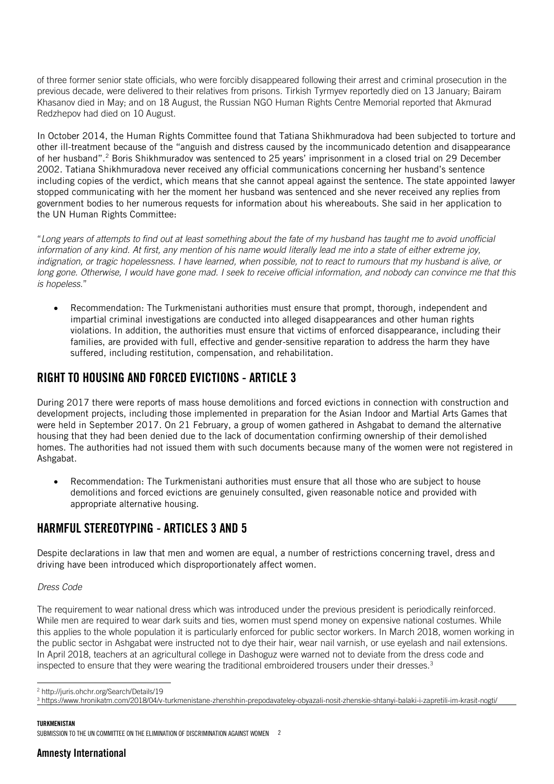of three former senior state officials, who were forcibly disappeared following their arrest and criminal prosecution in the previous decade, were delivered to their relatives from prisons. Tirkish Tyrmyev reportedly died on 13 January; Bairam Khasanov died in May; and on 18 August, the Russian NGO Human Rights Centre Memorial reported that Akmurad Redzhepov had died on 10 August.

In October 2014, the Human Rights Committee found that Tatiana Shikhmuradova had been subjected to torture and other ill-treatment because of the "anguish and distress caused by the incommunicado detention and disappearance of her husband".<sup>2</sup> Boris Shikhmuradov was sentenced to 25 years' imprisonment in a closed trial on 29 December 2002. Tatiana Shikhmuradova never received any official communications concerning her husband's sentence including copies of the verdict, which means that she cannot appeal against the sentence. The state appointed lawyer stopped communicating with her the moment her husband was sentenced and she never received any replies from government bodies to her numerous requests for information about his whereabouts. She said in her application to the UN Human Rights Committee:

"*Long years of attempts to find out at least something about the fate of my husband has taught me to avoid unofficial information of any kind. At first, any mention of his name would literally lead me into a state of either extreme joy, indignation, or tragic hopelessness. I have learned, when possible, not to react to rumours that my husband is alive, or long gone. Otherwise, I would have gone mad. I seek to receive official information, and nobody can convince me that this is hopeless*."

 Recommendation: The Turkmenistani authorities must ensure that prompt, thorough, independent and impartial criminal investigations are conducted into alleged disappearances and other human rights violations. In addition, the authorities must ensure that victims of enforced disappearance, including their families, are provided with full, effective and gender-sensitive reparation to address the harm they have suffered, including restitution, compensation, and rehabilitation.

## RIGHT TO HOUSING AND FORCED EVICTIONS - ARTICLE 3

During 2017 there were reports of mass house demolitions and forced evictions in connection with construction and development projects, including those implemented in preparation for the Asian Indoor and Martial Arts Games that were held in September 2017. On 21 February, a group of women gathered in Ashgabat to demand the alternative housing that they had been denied due to the lack of documentation confirming ownership of their demolished homes. The authorities had not issued them with such documents because many of the women were not registered in Ashgabat.

 Recommendation: The Turkmenistani authorities must ensure that all those who are subject to house demolitions and forced evictions are genuinely consulted, given reasonable notice and provided with appropriate alternative housing.

## HARMFUL STEREOTYPING - ARTICLES 3 AND 5

Despite declarations in law that men and women are equal, a number of restrictions concerning travel, dress and driving have been introduced which disproportionately affect women.

#### *Dress Code*

The requirement to wear national dress which was introduced under the previous president is periodically reinforced. While men are required to wear dark suits and ties, women must spend money on expensive national costumes. While this applies to the whole population it is particularly enforced for public sector workers. In March 2018, women working in the public sector in Ashgabat were instructed not to dye their hair, wear nail varnish, or use eyelash and nail extensions. In April 2018, teachers at an agricultural college in Dashoguz were warned not to deviate from the dress code and inspected to ensure that they were wearing the traditional embroidered trousers under their dresses.<sup>3</sup>

#### TURKMENISTAN

<sup>-</sup><sup>2</sup> http://juris.ohchr.org/Search/Details/19

<sup>3</sup> <https://www.hronikatm.com/2018/04/v-turkmenistane-zhenshhin-prepodavateley-obyazali-nosit-zhenskie-shtanyi-balaki-i-zapretili-im-krasit-nogti/>

SUBMISSION TO THE UN COMMITTEE ON THE ELIMINATION OF DISCRIMINATION AGAINST WOMEN 2